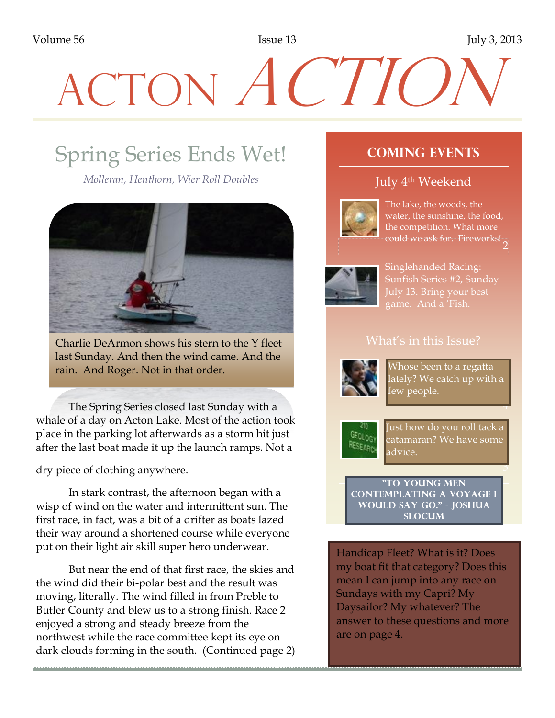# ACTON ACTION

## Spring Series Ends Wet!

*Molleran, Henthorn, Wier Roll Doubles*



Charlie DeArmon shows his stern to the Y fleet last Sunday. And then the wind came. And the rain. And Roger. Not in that order.

The Spring Series closed last Sunday with a whale of a day on Acton Lake. Most of the action took place in the parking lot afterwards as a storm hit just after the last boat made it up the launch ramps. Not a

dry piece of clothing anywhere.

In stark contrast, the afternoon began with a wisp of wind on the water and intermittent sun. The first race, in fact, was a bit of a drifter as boats lazed their way around a shortened course while everyone put on their light air skill super hero underwear.

But near the end of that first race, the skies and the wind did their bi-polar best and the result was moving, literally. The wind filled in from Preble to Butler County and blew us to a strong finish. Race 2 enjoyed a strong and steady breeze from the northwest while the race committee kept its eye on dark clouds forming in the south. (Continued page 2)

### **Coming Events**

## July 4th Weekend



2 could we ask for. Fireworks! The lake, the woods, the water, the sunshine, the food, the competition. What more



Singlehanded Racing: Sunfish Series #2, Sunday July 13. Bring your best

#### What's in this Issue?



Whose been to a regatta lately? We catch up with a few people.

4

3



ust how do you roll tack a catamaran? We have some dvice.

**"To young men contemplating a voyage I would say go." - Joshua Slocum** 

Handicap Fleet? What is it? Does my boat fit that category? Does this mean I can jump into any race on Sundays with my Capri? My Daysailor? My whatever? The answer to these questions and more are on page 4.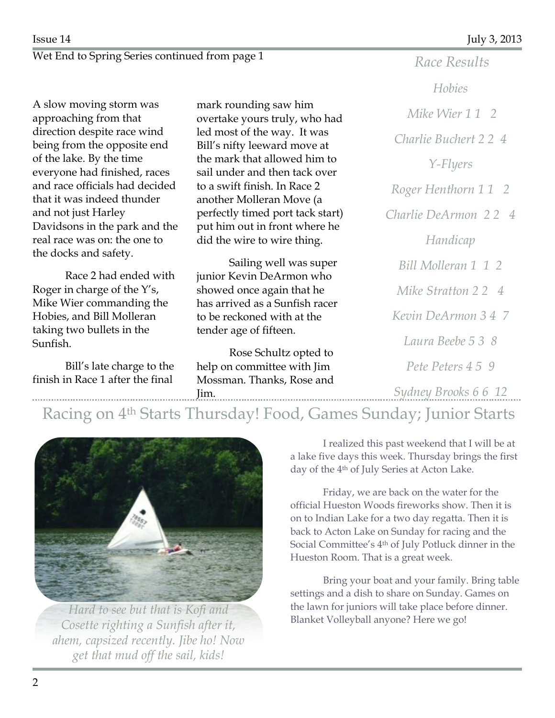*Race Results*

*Hobies*

A slow moving storm was approaching from that direction despite race wind being from the opposite end of the lake. By the time everyone had finished, races and race officials had decided that it was indeed thunder and not just Harley Davidsons in the park and the real race was on: the one to the docks and safety.

Race 2 had ended with Roger in charge of the Y's, Mike Wier commanding the Hobies, and Bill Molleran taking two bullets in the Sunfish.

Bill's late charge to the finish in Race 1 after the final

mark rounding saw him overtake yours truly, who had led most of the way. It was Bill's nifty leeward move at the mark that allowed him to sail under and then tack over to a swift finish. In Race 2 another Molleran Move (a perfectly timed port tack start) put him out in front where he did the wire to wire thing.

Sailing well was super junior Kevin DeArmon who showed once again that he has arrived as a Sunfish racer to be reckoned with at the tender age of fifteen.

Rose Schultz opted to help on committee with Jim Mossman. Thanks, Rose and

Jim.

*Mike Wier 1 1 2 Charlie Buchert 2 2 4 Y-Flyers Roger Henthorn 1 1 2 Charlie DeArmon 2 2 4 Handicap Bill Molleran 1 1 2 Mike Stratton 2 2 4 Kevin DeArmon 3 4 7 Laura Beebe 5 3 8 Pete Peters 4 5 9*

*Sydney Brooks 6 6 12*

Racing on 4th Starts Thursday! Food, Games Sunday; Junior Starts



*Hard to see but that is Kofi and Cosette righting a Sunfish after it, ahem, capsized recently. Jibe ho! Now get that mud off the sail, kids!*

I realized this past weekend that I will be at a lake five days this week. Thursday brings the first day of the 4th of July Series at Acton Lake.

Friday, we are back on the water for the official Hueston Woods fireworks show. Then it is on to Indian Lake for a two day regatta. Then it is back to Acton Lake on Sunday for racing and the Social Committee's 4th of July Potluck dinner in the Hueston Room. That is a great week.

Bring your boat and your family. Bring table settings and a dish to share on Sunday. Games on the lawn for juniors will take place before dinner. Blanket Volleyball anyone? Here we go!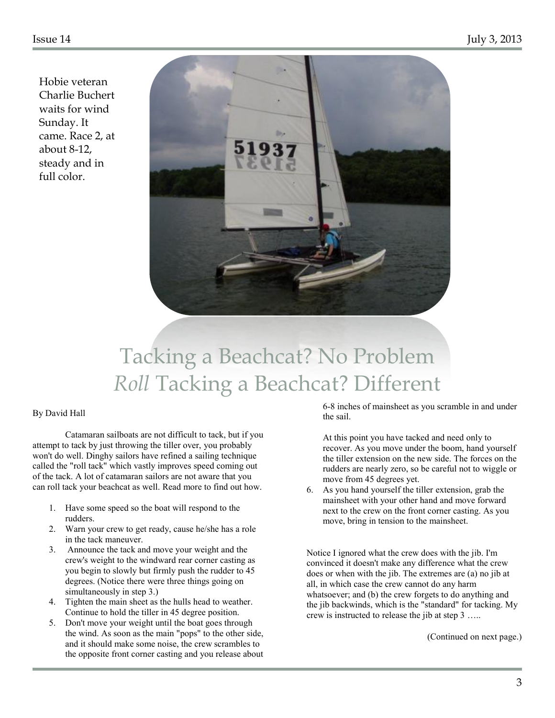Hobie veteran Charlie Buchert waits for wind Sunday. It came. Race 2, at about 8-12, steady and in full color.



## Tacking a Beachcat? No Problem *Roll* Tacking a Beachcat? Different

#### By David Hall

Catamaran sailboats are not difficult to tack, but if you attempt to tack by just throwing the tiller over, you probably won't do well. Dinghy sailors have refined a sailing technique called the "roll tack" which vastly improves speed coming out of the tack. A lot of catamaran sailors are not aware that you can roll tack your beachcat as well. Read more to find out how.

- 1. Have some speed so the boat will respond to the rudders.
- 2. Warn your crew to get ready, cause he/she has a role in the tack maneuver.
- 3. Announce the tack and move your weight and the crew's weight to the windward rear corner casting as you begin to slowly but firmly push the rudder to 45 degrees. (Notice there were three things going on simultaneously in step 3.)
- 4. Tighten the main sheet as the hulls head to weather. Continue to hold the tiller in 45 degree position.
- 5. Don't move your weight until the boat goes through the wind. As soon as the main "pops" to the other side, and it should make some noise, the crew scrambles to the opposite front corner casting and you release about

6-8 inches of mainsheet as you scramble in and under the sail.

- At this point you have tacked and need only to recover. As you move under the boom, hand yourself the tiller extension on the new side. The forces on the rudders are nearly zero, so be careful not to wiggle or move from 45 degrees yet.
- 6. As you hand yourself the tiller extension, grab the mainsheet with your other hand and move forward next to the crew on the front corner casting. As you move, bring in tension to the mainsheet.

Notice I ignored what the crew does with the jib. I'm convinced it doesn't make any difference what the crew does or when with the jib. The extremes are (a) no jib at all, in which case the crew cannot do any harm whatsoever; and (b) the crew forgets to do anything and the jib backwinds, which is the "standard" for tacking. My crew is instructed to release the jib at step 3 …..

(Continued on next page.)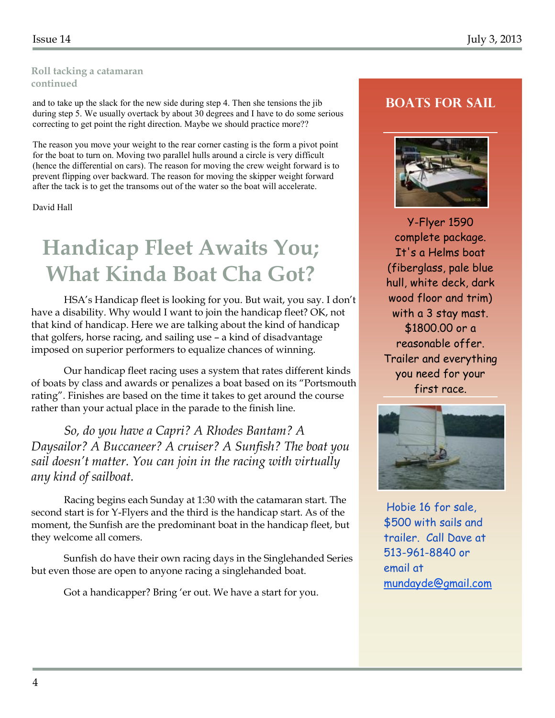#### **Roll tacking a catamaran continued**

and to take up the slack for the new side during step 4. Then she tensions the jib during step 5. We usually overtack by about 30 degrees and I have to do some serious correcting to get point the right direction. Maybe we should practice more??

The reason you move your weight to the rear corner casting is the form a pivot point for the boat to turn on. Moving two parallel hulls around a circle is very difficult (hence the differential on cars). The reason for moving the crew weight forward is to prevent flipping over backward. The reason for moving the skipper weight forward after the tack is to get the transoms out of the water so the boat will accelerate.

David Hall

## **Handicap Fleet Awaits You; What Kinda Boat Cha Got?**

HSA's Handicap fleet is looking for you. But wait, you say. I don't have a disability. Why would I want to join the handicap fleet? OK, not that kind of handicap. Here we are talking about the kind of handicap that golfers, horse racing, and sailing use – a kind of disadvantage imposed on superior performers to equalize chances of winning.

Our handicap fleet racing uses a system that rates different kinds of boats by class and awards or penalizes a boat based on its "Portsmouth rating". Finishes are based on the time it takes to get around the course rather than your actual place in the parade to the finish line.

*So, do you have a Capri? A Rhodes Bantam? A Daysailor? A Buccaneer? A cruiser? A Sunfish? The boat you sail doesn't matter. You can join in the racing with virtually any kind of sailboat.* 

Racing begins each Sunday at 1:30 with the catamaran start. The second start is for Y-Flyers and the third is the handicap start. As of the moment, the Sunfish are the predominant boat in the handicap fleet, but they welcome all comers.

Sunfish do have their own racing days in the Singlehanded Series but even those are open to anyone racing a singlehanded boat.

Got a handicapper? Bring 'er out. We have a start for you.

#### **Boats for Sail**



Y-Flyer 1590 complete package. It's a Helms boat (fiberglass, pale blue hull, white deck, dark wood floor and trim) with a 3 stay mast. \$1800.00 or a reasonable offer. Trailer and everything you need for your first race.



Hobie 16 for sale, \$500 with sails and trailer. Call Dave at 513-961-8840 or email at [mundayde@gmail.com](mailto:mundayde@gmail.com)